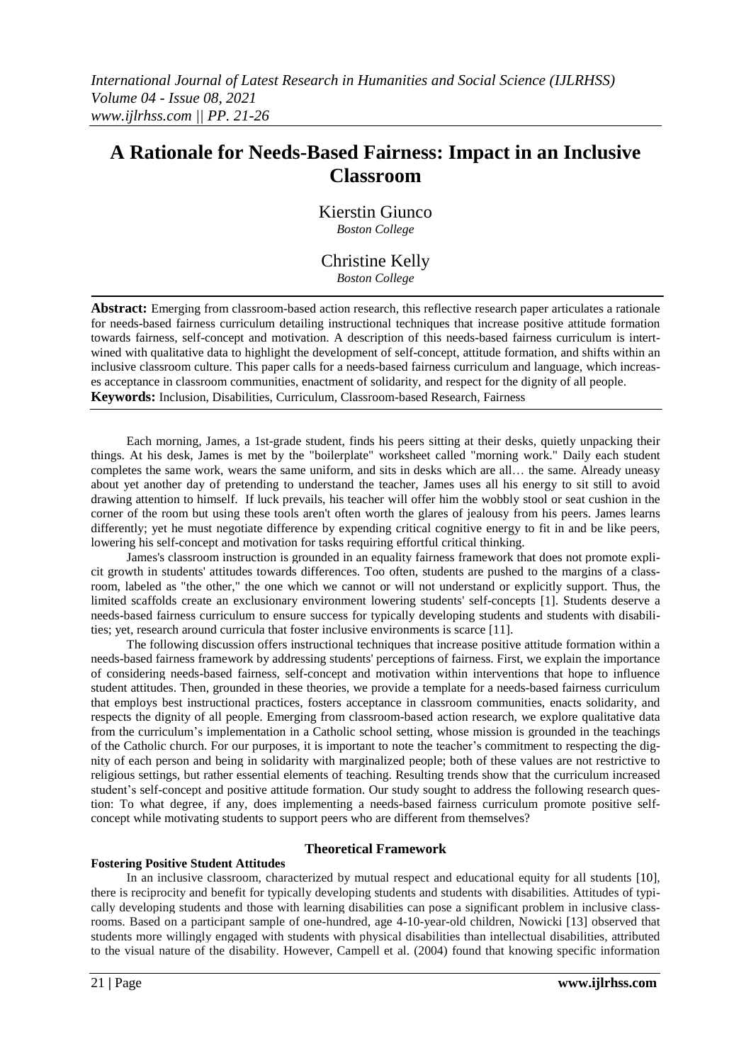# **A Rationale for Needs-Based Fairness: Impact in an Inclusive Classroom**

Kierstin Giunco *Boston College*

# Christine Kelly

*Boston College*

**Abstract:** Emerging from classroom-based action research, this reflective research paper articulates a rationale for needs-based fairness curriculum detailing instructional techniques that increase positive attitude formation towards fairness, self-concept and motivation. A description of this needs-based fairness curriculum is intertwined with qualitative data to highlight the development of self-concept, attitude formation, and shifts within an inclusive classroom culture. This paper calls for a needs-based fairness curriculum and language, which increases acceptance in classroom communities, enactment of solidarity, and respect for the dignity of all people. **Keywords:** Inclusion, Disabilities, Curriculum, Classroom-based Research, Fairness

Each morning, James, a 1st-grade student, finds his peers sitting at their desks, quietly unpacking their things. At his desk, James is met by the "boilerplate" worksheet called "morning work." Daily each student completes the same work, wears the same uniform, and sits in desks which are all… the same. Already uneasy about yet another day of pretending to understand the teacher, James uses all his energy to sit still to avoid drawing attention to himself. If luck prevails, his teacher will offer him the wobbly stool or seat cushion in the corner of the room but using these tools aren't often worth the glares of jealousy from his peers. James learns differently; yet he must negotiate difference by expending critical cognitive energy to fit in and be like peers, lowering his self-concept and motivation for tasks requiring effortful critical thinking.

James's classroom instruction is grounded in an equality fairness framework that does not promote explicit growth in students' attitudes towards differences. Too often, students are pushed to the margins of a classroom, labeled as "the other," the one which we cannot or will not understand or explicitly support. Thus, the limited scaffolds create an exclusionary environment lowering students' self-concepts [1]. Students deserve a needs-based fairness curriculum to ensure success for typically developing students and students with disabilities; yet, research around curricula that foster inclusive environments is scarce [11].

The following discussion offers instructional techniques that increase positive attitude formation within a needs-based fairness framework by addressing students' perceptions of fairness. First, we explain the importance of considering needs-based fairness, self-concept and motivation within interventions that hope to influence student attitudes. Then, grounded in these theories, we provide a template for a needs-based fairness curriculum that employs best instructional practices, fosters acceptance in classroom communities, enacts solidarity, and respects the dignity of all people. Emerging from classroom-based action research, we explore qualitative data from the curriculum"s implementation in a Catholic school setting, whose mission is grounded in the teachings of the Catholic church. For our purposes, it is important to note the teacher"s commitment to respecting the dignity of each person and being in solidarity with marginalized people; both of these values are not restrictive to religious settings, but rather essential elements of teaching. Resulting trends show that the curriculum increased student"s self-concept and positive attitude formation. Our study sought to address the following research question: To what degree, if any, does implementing a needs-based fairness curriculum promote positive selfconcept while motivating students to support peers who are different from themselves?

#### **Fostering Positive Student Attitudes**

### **Theoretical Framework**

In an inclusive classroom, characterized by mutual respect and educational equity for all students [10], there is reciprocity and benefit for typically developing students and students with disabilities. Attitudes of typically developing students and those with learning disabilities can pose a significant problem in inclusive classrooms. Based on a participant sample of one-hundred, age 4-10-year-old children, Nowicki [13] observed that students more willingly engaged with students with physical disabilities than intellectual disabilities, attributed to the visual nature of the disability. However, Campell et al. (2004) found that knowing specific information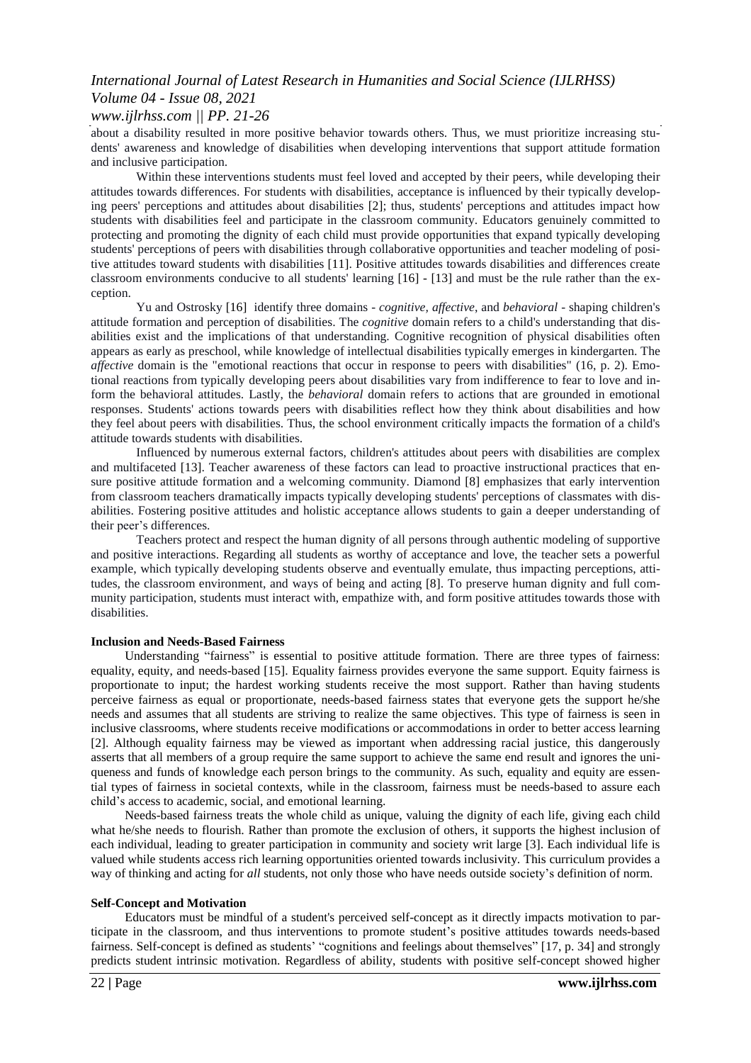## *International Journal of Latest Research in Humanities and Social Science (IJLRHSS) Volume 04 - Issue 08, 2021 www.ijlrhss.com || PP. 21-26*

about a disability resulted in more positive behavior towards others. Thus, we must prioritize increasing students' awareness and knowledge of disabilities when developing interventions that support attitude formation and inclusive participation.

Within these interventions students must feel loved and accepted by their peers, while developing their attitudes towards differences. For students with disabilities, acceptance is influenced by their typically developing peers' perceptions and attitudes about disabilities [2]; thus, students' perceptions and attitudes impact how students with disabilities feel and participate in the classroom community. Educators genuinely committed to protecting and promoting the dignity of each child must provide opportunities that expand typically developing students' perceptions of peers with disabilities through collaborative opportunities and teacher modeling of positive attitudes toward students with disabilities [11]. Positive attitudes towards disabilities and differences create classroom environments conducive to all students' learning [16] - [13] and must be the rule rather than the exception.

Yu and Ostrosky [16] identify three domains - *cognitive, affective*, and *behavioral* - shaping children's attitude formation and perception of disabilities. The *cognitive* domain refers to a child's understanding that disabilities exist and the implications of that understanding. Cognitive recognition of physical disabilities often appears as early as preschool, while knowledge of intellectual disabilities typically emerges in kindergarten. The *affective* domain is the "emotional reactions that occur in response to peers with disabilities" (16, p. 2). Emotional reactions from typically developing peers about disabilities vary from indifference to fear to love and inform the behavioral attitudes. Lastly, the *behavioral* domain refers to actions that are grounded in emotional responses. Students' actions towards peers with disabilities reflect how they think about disabilities and how they feel about peers with disabilities. Thus, the school environment critically impacts the formation of a child's attitude towards students with disabilities.

Influenced by numerous external factors, children's attitudes about peers with disabilities are complex and multifaceted [13]. Teacher awareness of these factors can lead to proactive instructional practices that ensure positive attitude formation and a welcoming community. Diamond [8] emphasizes that early intervention from classroom teachers dramatically impacts typically developing students' perceptions of classmates with disabilities. Fostering positive attitudes and holistic acceptance allows students to gain a deeper understanding of their peer"s differences.

Teachers protect and respect the human dignity of all persons through authentic modeling of supportive and positive interactions. Regarding all students as worthy of acceptance and love, the teacher sets a powerful example, which typically developing students observe and eventually emulate, thus impacting perceptions, attitudes, the classroom environment, and ways of being and acting [8]. To preserve human dignity and full community participation, students must interact with, empathize with, and form positive attitudes towards those with disabilities.

#### **Inclusion and Needs-Based Fairness**

Understanding "fairness" is essential to positive attitude formation. There are three types of fairness: equality, equity, and needs-based [15]. Equality fairness provides everyone the same support. Equity fairness is proportionate to input; the hardest working students receive the most support. Rather than having students perceive fairness as equal or proportionate, needs-based fairness states that everyone gets the support he/she needs and assumes that all students are striving to realize the same objectives. This type of fairness is seen in inclusive classrooms, where students receive modifications or accommodations in order to better access learning [2]. Although equality fairness may be viewed as important when addressing racial justice, this dangerously asserts that all members of a group require the same support to achieve the same end result and ignores the uniqueness and funds of knowledge each person brings to the community. As such, equality and equity are essential types of fairness in societal contexts, while in the classroom, fairness must be needs-based to assure each child"s access to academic, social, and emotional learning.

Needs-based fairness treats the whole child as unique, valuing the dignity of each life, giving each child what he/she needs to flourish. Rather than promote the exclusion of others, it supports the highest inclusion of each individual, leading to greater participation in community and society writ large [3]. Each individual life is valued while students access rich learning opportunities oriented towards inclusivity. This curriculum provides a way of thinking and acting for *all* students, not only those who have needs outside society"s definition of norm.

#### **Self-Concept and Motivation**

Educators must be mindful of a student's perceived self-concept as it directly impacts motivation to participate in the classroom, and thus interventions to promote student"s positive attitudes towards needs-based fairness. Self-concept is defined as students' "cognitions and feelings about themselves" [17, p. 34] and strongly predicts student intrinsic motivation. Regardless of ability, students with positive self-concept showed higher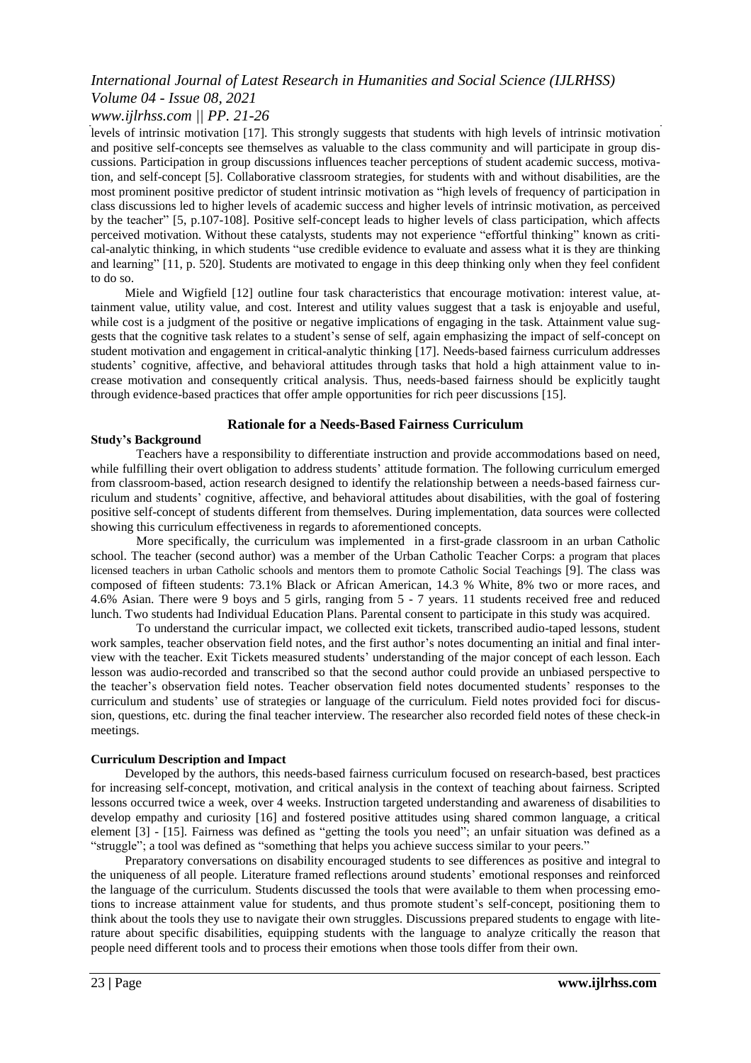## *International Journal of Latest Research in Humanities and Social Science (IJLRHSS)*

### *Volume 04 - Issue 08, 2021 www.ijlrhss.com || PP. 21-26*

levels of intrinsic motivation [17]. This strongly suggests that students with high levels of intrinsic motivation and positive self-concepts see themselves as valuable to the class community and will participate in group discussions. Participation in group discussions influences teacher perceptions of student academic success, motivation, and self-concept [5]. Collaborative classroom strategies, for students with and without disabilities, are the most prominent positive predictor of student intrinsic motivation as "high levels of frequency of participation in class discussions led to higher levels of academic success and higher levels of intrinsic motivation, as perceived by the teacher" [5, p.107-108]. Positive self-concept leads to higher levels of class participation, which affects perceived motivation. Without these catalysts, students may not experience "effortful thinking" known as critical-analytic thinking, in which students "use credible evidence to evaluate and assess what it is they are thinking and learning" [11, p. 520]. Students are motivated to engage in this deep thinking only when they feel confident to do so.

Miele and Wigfield [12] outline four task characteristics that encourage motivation: interest value, attainment value, utility value, and cost. Interest and utility values suggest that a task is enjoyable and useful, while cost is a judgment of the positive or negative implications of engaging in the task. Attainment value suggests that the cognitive task relates to a student"s sense of self, again emphasizing the impact of self-concept on student motivation and engagement in critical-analytic thinking [17]. Needs-based fairness curriculum addresses students" cognitive, affective, and behavioral attitudes through tasks that hold a high attainment value to increase motivation and consequently critical analysis. Thus, needs-based fairness should be explicitly taught through evidence-based practices that offer ample opportunities for rich peer discussions [15].

#### **Rationale for a Needs-Based Fairness Curriculum**

#### **Study's Background**

Teachers have a responsibility to differentiate instruction and provide accommodations based on need, while fulfilling their overt obligation to address students' attitude formation. The following curriculum emerged from classroom-based, action research designed to identify the relationship between a needs-based fairness curriculum and students" cognitive, affective, and behavioral attitudes about disabilities, with the goal of fostering positive self-concept of students different from themselves. During implementation, data sources were collected showing this curriculum effectiveness in regards to aforementioned concepts.

More specifically, the curriculum was implemented in a first-grade classroom in an urban Catholic school. The teacher (second author) was a member of the Urban Catholic Teacher Corps: a program that places licensed teachers in urban Catholic schools and mentors them to promote Catholic Social Teachings [9]. The class was composed of fifteen students: 73.1% Black or African American, 14.3 % White, 8% two or more races, and 4.6% Asian. There were 9 boys and 5 girls, ranging from 5 - 7 years. 11 students received free and reduced lunch. Two students had Individual Education Plans. Parental consent to participate in this study was acquired.

To understand the curricular impact, we collected exit tickets, transcribed audio-taped lessons, student work samples, teacher observation field notes, and the first author"s notes documenting an initial and final interview with the teacher. Exit Tickets measured students" understanding of the major concept of each lesson. Each lesson was audio-recorded and transcribed so that the second author could provide an unbiased perspective to the teacher"s observation field notes. Teacher observation field notes documented students" responses to the curriculum and students" use of strategies or language of the curriculum. Field notes provided foci for discussion, questions, etc. during the final teacher interview. The researcher also recorded field notes of these check-in meetings.

#### **Curriculum Description and Impact**

Developed by the authors, this needs-based fairness curriculum focused on research-based, best practices for increasing self-concept, motivation, and critical analysis in the context of teaching about fairness. Scripted lessons occurred twice a week, over 4 weeks. Instruction targeted understanding and awareness of disabilities to develop empathy and curiosity [16] and fostered positive attitudes using shared common language, a critical element [3] - [15]. Fairness was defined as "getting the tools you need"; an unfair situation was defined as a "struggle"; a tool was defined as "something that helps you achieve success similar to your peers."

Preparatory conversations on disability encouraged students to see differences as positive and integral to the uniqueness of all people. Literature framed reflections around students" emotional responses and reinforced the language of the curriculum. Students discussed the tools that were available to them when processing emotions to increase attainment value for students, and thus promote student's self-concept, positioning them to think about the tools they use to navigate their own struggles. Discussions prepared students to engage with literature about specific disabilities, equipping students with the language to analyze critically the reason that people need different tools and to process their emotions when those tools differ from their own.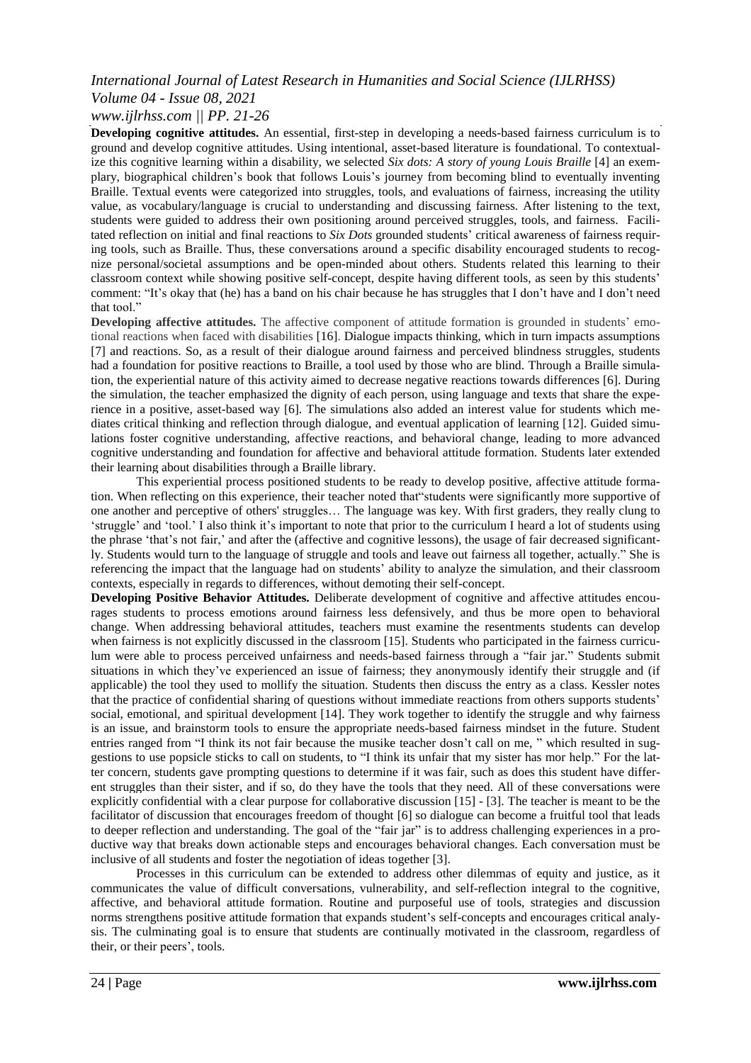## *International Journal of Latest Research in Humanities and Social Science (IJLRHSS) Volume 04 - Issue 08, 2021*

## *www.ijlrhss.com || PP. 21-26*

**Developing cognitive attitudes.** An essential, first-step in developing a needs-based fairness curriculum is to ground and develop cognitive attitudes. Using intentional, asset-based literature is foundational. To contextualize this cognitive learning within a disability, we selected *Six dots: A story of young Louis Braille* [4] an exemplary, biographical children"s book that follows Louis"s journey from becoming blind to eventually inventing Braille. Textual events were categorized into struggles, tools, and evaluations of fairness, increasing the utility value, as vocabulary/language is crucial to understanding and discussing fairness. After listening to the text, students were guided to address their own positioning around perceived struggles, tools, and fairness. Facilitated reflection on initial and final reactions to *Six Dots* grounded students" critical awareness of fairness requiring tools, such as Braille. Thus, these conversations around a specific disability encouraged students to recognize personal/societal assumptions and be open-minded about others. Students related this learning to their classroom context while showing positive self-concept, despite having different tools, as seen by this students" comment: "It's okay that (he) has a band on his chair because he has struggles that I don't have and I don't need that tool."

**Developing affective attitudes.** The affective component of attitude formation is grounded in students' emotional reactions when faced with disabilities [16]. Dialogue impacts thinking, which in turn impacts assumptions [7] and reactions. So, as a result of their dialogue around fairness and perceived blindness struggles, students had a foundation for positive reactions to Braille, a tool used by those who are blind. Through a Braille simulation, the experiential nature of this activity aimed to decrease negative reactions towards differences [6]. During the simulation, the teacher emphasized the dignity of each person, using language and texts that share the experience in a positive, asset-based way [6]. The simulations also added an interest value for students which mediates critical thinking and reflection through dialogue, and eventual application of learning [12]. Guided simulations foster cognitive understanding, affective reactions, and behavioral change, leading to more advanced cognitive understanding and foundation for affective and behavioral attitude formation. Students later extended their learning about disabilities through a Braille library.

This experiential process positioned students to be ready to develop positive, affective attitude formation. When reflecting on this experience, their teacher noted that"students were significantly more supportive of one another and perceptive of others' struggles… The language was key. With first graders, they really clung to "struggle" and "tool." I also think it"s important to note that prior to the curriculum I heard a lot of students using the phrase 'that's not fair,' and after the (affective and cognitive lessons), the usage of fair decreased significantly. Students would turn to the language of struggle and tools and leave out fairness all together, actually." She is referencing the impact that the language had on students" ability to analyze the simulation, and their classroom contexts, especially in regards to differences, without demoting their self-concept.

**Developing Positive Behavior Attitudes.** Deliberate development of cognitive and affective attitudes encourages students to process emotions around fairness less defensively, and thus be more open to behavioral change. When addressing behavioral attitudes, teachers must examine the resentments students can develop when fairness is not explicitly discussed in the classroom [15]. Students who participated in the fairness curriculum were able to process perceived unfairness and needs-based fairness through a "fair jar." Students submit situations in which they"ve experienced an issue of fairness; they anonymously identify their struggle and (if applicable) the tool they used to mollify the situation. Students then discuss the entry as a class. Kessler notes that the practice of confidential sharing of questions without immediate reactions from others supports students" social, emotional, and spiritual development [14]. They work together to identify the struggle and why fairness is an issue, and brainstorm tools to ensure the appropriate needs-based fairness mindset in the future. Student entries ranged from "I think its not fair because the musike teacher dosn"t call on me, " which resulted in suggestions to use popsicle sticks to call on students, to "I think its unfair that my sister has mor help." For the latter concern, students gave prompting questions to determine if it was fair, such as does this student have different struggles than their sister, and if so, do they have the tools that they need. All of these conversations were explicitly confidential with a clear purpose for collaborative discussion [15] - [3]. The teacher is meant to be the facilitator of discussion that encourages freedom of thought [6] so dialogue can become a fruitful tool that leads to deeper reflection and understanding. The goal of the "fair jar" is to address challenging experiences in a productive way that breaks down actionable steps and encourages behavioral changes. Each conversation must be inclusive of all students and foster the negotiation of ideas together [3].

Processes in this curriculum can be extended to address other dilemmas of equity and justice, as it communicates the value of difficult conversations, vulnerability, and self-reflection integral to the cognitive, affective, and behavioral attitude formation. Routine and purposeful use of tools, strategies and discussion norms strengthens positive attitude formation that expands student"s self-concepts and encourages critical analysis. The culminating goal is to ensure that students are continually motivated in the classroom, regardless of their, or their peers', tools.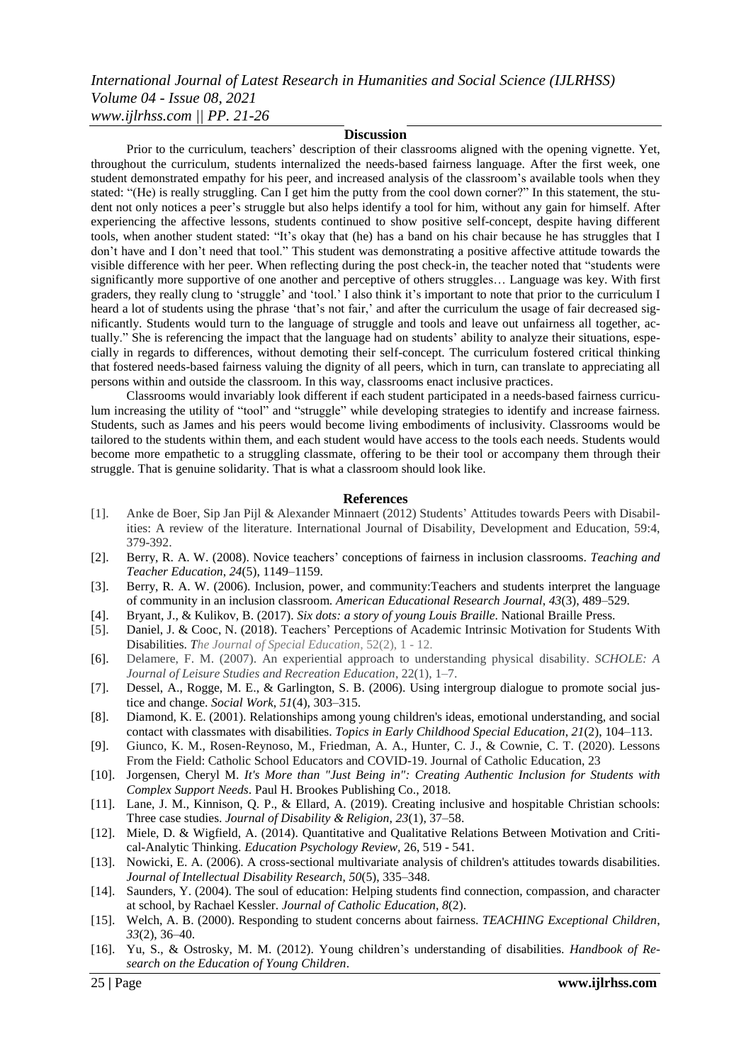## *International Journal of Latest Research in Humanities and Social Science (IJLRHSS) Volume 04 - Issue 08, 2021 www.ijlrhss.com || PP. 21-26*

#### **Discussion**

Prior to the curriculum, teachers" description of their classrooms aligned with the opening vignette. Yet, throughout the curriculum, students internalized the needs-based fairness language. After the first week, one student demonstrated empathy for his peer, and increased analysis of the classroom"s available tools when they stated: "(He) is really struggling. Can I get him the putty from the cool down corner?" In this statement, the student not only notices a peer"s struggle but also helps identify a tool for him, without any gain for himself. After experiencing the affective lessons, students continued to show positive self-concept, despite having different tools, when another student stated: "It's okay that (he) has a band on his chair because he has struggles that I don"t have and I don"t need that tool." This student was demonstrating a positive affective attitude towards the visible difference with her peer. When reflecting during the post check-in, the teacher noted that "students were significantly more supportive of one another and perceptive of others struggles… Language was key. With first graders, they really clung to 'struggle' and 'tool.' I also think it's important to note that prior to the curriculum I heard a lot of students using the phrase 'that's not fair,' and after the curriculum the usage of fair decreased significantly. Students would turn to the language of struggle and tools and leave out unfairness all together, actually." She is referencing the impact that the language had on students" ability to analyze their situations, especially in regards to differences, without demoting their self-concept. The curriculum fostered critical thinking that fostered needs-based fairness valuing the dignity of all peers, which in turn, can translate to appreciating all persons within and outside the classroom. In this way, classrooms enact inclusive practices.

Classrooms would invariably look different if each student participated in a needs-based fairness curriculum increasing the utility of "tool" and "struggle" while developing strategies to identify and increase fairness. Students, such as James and his peers would become living embodiments of inclusivity. Classrooms would be tailored to the students within them, and each student would have access to the tools each needs. Students would become more empathetic to a struggling classmate, offering to be their tool or accompany them through their struggle. That is genuine solidarity. That is what a classroom should look like.

#### **References**

- [1]. Anke de Boer, Sip Jan Pijl & Alexander Minnaert (2012) Students" Attitudes towards Peers with Disabilities: A review of the literature. International Journal of Disability, Development and Education, 59:4, 379-392.
- [2]. Berry, R. A. W. (2008). Novice teachers" conceptions of fairness in inclusion classrooms. *Teaching and Teacher Education*, *24*(5), 1149–1159.
- [3]. Berry, R. A. W. (2006). Inclusion, power, and community:Teachers and students interpret the language of community in an inclusion classroom. *American Educational Research Journal*, *43*(3), 489–529.
- [4]. Bryant, J., & Kulikov, B. (2017). *Six dots: a story of young Louis Braille*. National Braille Press.
- [5]. Daniel, J. & Cooc, N. (2018). Teachers" Perceptions of Academic Intrinsic Motivation for Students With Disabilities. *The Journal of Special Education,* 52(2), 1 - 12.
- [6]. Delamere, F. M. (2007). An experiential approach to understanding physical disability. *SCHOLE: A Journal of Leisure Studies and Recreation Education*, 22(1), 1–7.
- [7]. Dessel, A., Rogge, M. E., & Garlington, S. B. (2006). Using intergroup dialogue to promote social justice and change. *Social Work*, *51*(4), 303–315.
- [8]. Diamond, K. E. (2001). Relationships among young children's ideas, emotional understanding, and social contact with classmates with disabilities. *Topics in Early Childhood Special Education*, *21*(2), 104–113.
- [9]. Giunco, K. M., Rosen-Reynoso, M., Friedman, A. A., Hunter, C. J., & Cownie, C. T. (2020). Lessons From the Field: Catholic School Educators and COVID-19. Journal of Catholic Education, 23
- [10]. Jorgensen, Cheryl M. *It's More than "Just Being in": Creating Authentic Inclusion for Students with Complex Support Needs*. Paul H. Brookes Publishing Co., 2018.
- [11]. Lane, J. M., Kinnison, Q. P., & Ellard, A. (2019). Creating inclusive and hospitable Christian schools: Three case studies. *Journal of Disability & Religion*, *23*(1), 37–58.
- [12]. Miele, D. & Wigfield, A. (2014). Quantitative and Qualitative Relations Between Motivation and Critical-Analytic Thinking. *Education Psychology Review,* 26, 519 - 541.
- [13]. Nowicki, E. A. (2006). A cross-sectional multivariate analysis of children's attitudes towards disabilities. *Journal of Intellectual Disability Research*, *50*(5), 335–348.
- [14]. Saunders, Y. (2004). The soul of education: Helping students find connection, compassion, and character at school, by Rachael Kessler. *Journal of Catholic Education*, *8*(2).
- [15]. Welch, A. B. (2000). Responding to student concerns about fairness. *TEACHING Exceptional Children*, *33*(2), 36–40.
- [16]. Yu, S., & Ostrosky, M. M. (2012). Young children"s understanding of disabilities. *Handbook of Research on the Education of Young Children*.